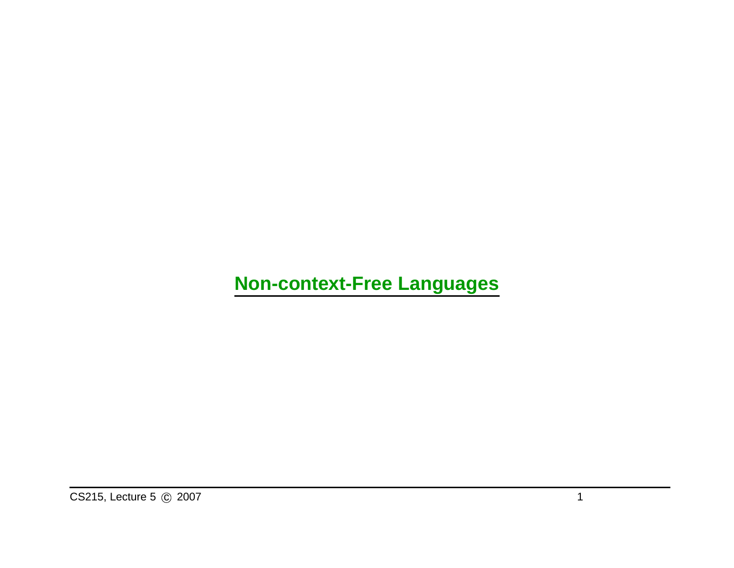# **Non-context-Free Languages**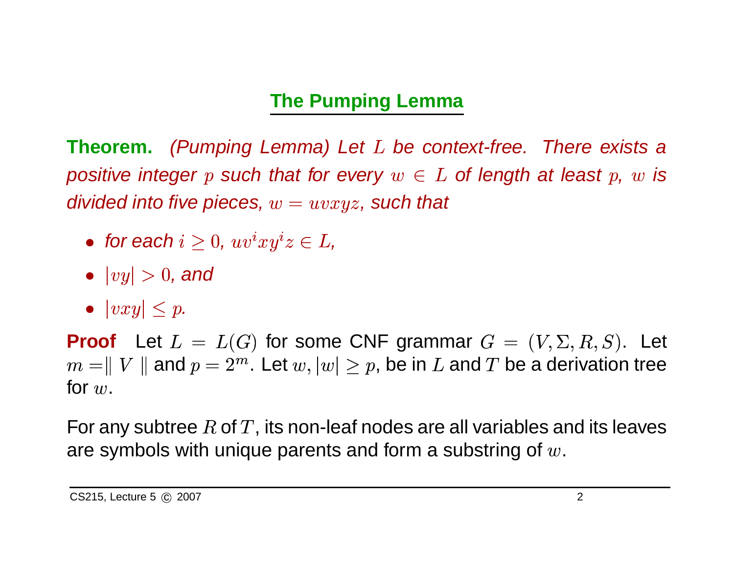## **The Pumping Lemma**

**Theorem.** (Pumping Lemma) Let L be context-free. There exists a positive integer  $p$  such that for every  $w\,\in\, L$  of length at least  $p, \ w$  is divided into five pieces,  $w=uvxyz$ , such that

- -for each  $i\geq 0$ ,  $uv^ixy^iz\in L,$
- $|vy| > 0$ , and
- $\| \cdot \|$ .

**Proof** Let  $L = L(G)$  for some CNF grammar  $G = (V, \Sigma, R, S)$ . Let  $m = ||V||$  and  $p = 2^m$ . Let  $w, |w| \ge p$ , be in  $L$  and  $T$  be a derivation tree for  $w$ .  $=$   $\parallel$   $V \parallel$  and  $p = 2^m$ . Let  $w$  r  $w$ .  $\vert w\vert\geq p,$  be in  $L$  and  $T$  be a derivation tree for  $w.$ 

For any subtree R of T, its non-leaf nodes are all variables and its leaves are symbols with unique parents and form a substring of  $w.$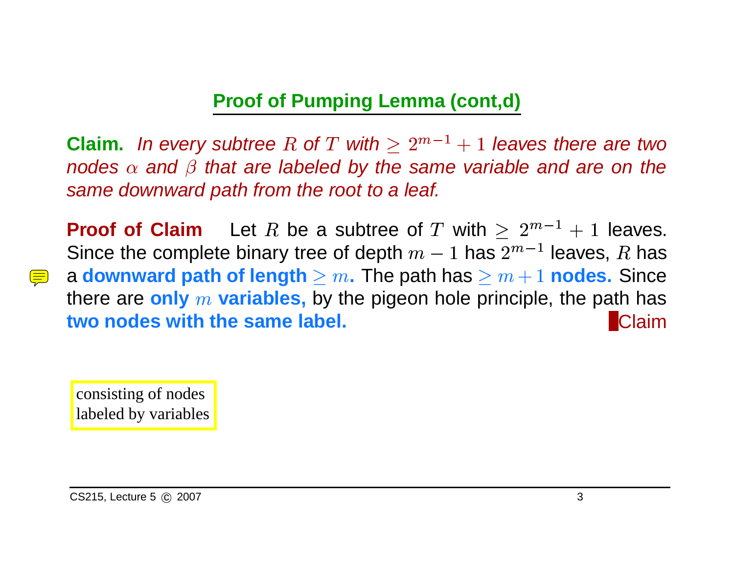**Claim.** In every subtree  $R$  of  $T$  with  $\sim$  m  $+1$  leaves there are two nodes  $\alpha$  and  $\beta$  that are labeled by the same variable and are on the same downward path from the root to <sup>a</sup> leaf.

**Proof of Claim** Let  $R$  be a subtree of  $T$  with  $\sim$   $\sim$   $\sim$  $+1$  leaves. Since the complete binary tree of depth  $m-1$  has m leaves,  $R$  has leaves,<br>. nodes<br>., the pa **a downward path of length**  $\geq m$ . The path has  $\geq m+1$  **nodes.** Since there are **only**  $m$  **variables,** by the pigeon hole principle, the path has **two nodes with the same label.**. A contract of the contract of the contract of  $\blacksquare$ 

consisting of nodes labeled by variables

<u>||||</u>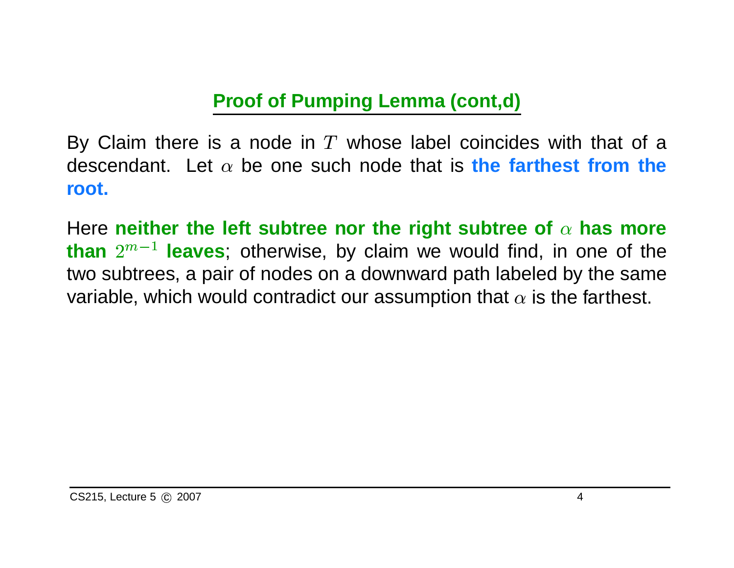By Claim there is a node in  $T$  whose label coincides with that of a descendant. Let  $\alpha$  be one such node that is the farthest from the **root.**

Here <code>neither</code> the left subtree nor the right subtree of  $\alpha$  has more **than** m **leaves**; otherwise, by claim we would find, in one of the same<br>es, a pair of nodes on a downward path labeled by the same<br>hich would contradict our assumption that  $\alpha$  is the farthest. two subtrees, <sup>a</sup> pair of nodes on <sup>a</sup> downward path labeled by the same variable, which would contradict our assumption that  $\alpha$  is the farthest.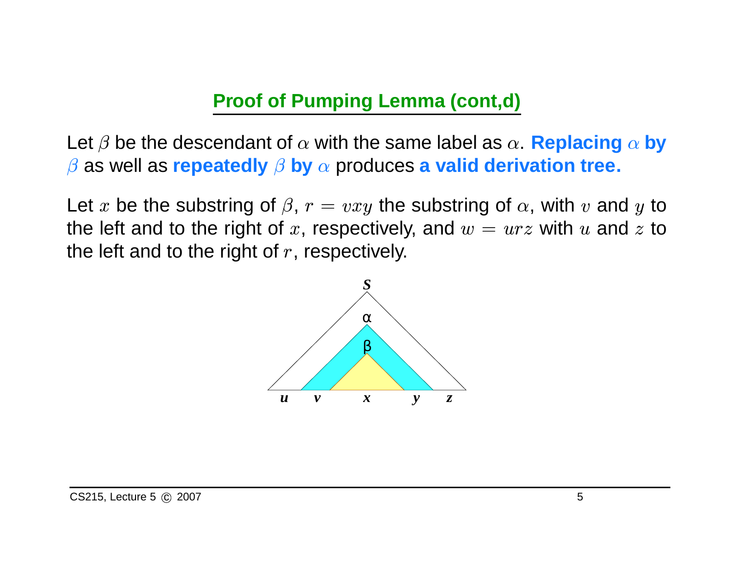Let  $\beta$  be the descendant of  $\alpha$  with the same label as . Replacing  $\alpha$  by as well as repeatedly  $\beta$  by  $\alpha$  produces a valid derivation tree.

Let  $x$  be the substring of  $\beta,$   $r=vxy$  the substring of  $\alpha,$  with  $v$  and  $y$  to the left and to the right of  $r,$  respectively. the left and to the right of  $x,$  respectively, and  $w = urz$  with  $u$  and  $z$  to

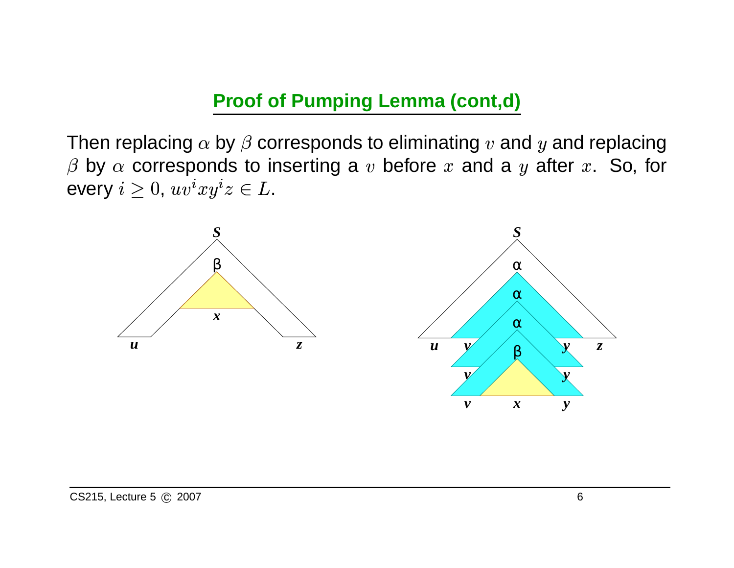Then replacing  $\alpha$  by  $\beta$  corresponds to eliminating  $v$  and  $y$  and replacing by  $\alpha$  corresponds to inserting a  $v$  before  $x$  and a  $y$  after . So, for every  $i\geq 0,\,uv^i$  $\sim$  T .



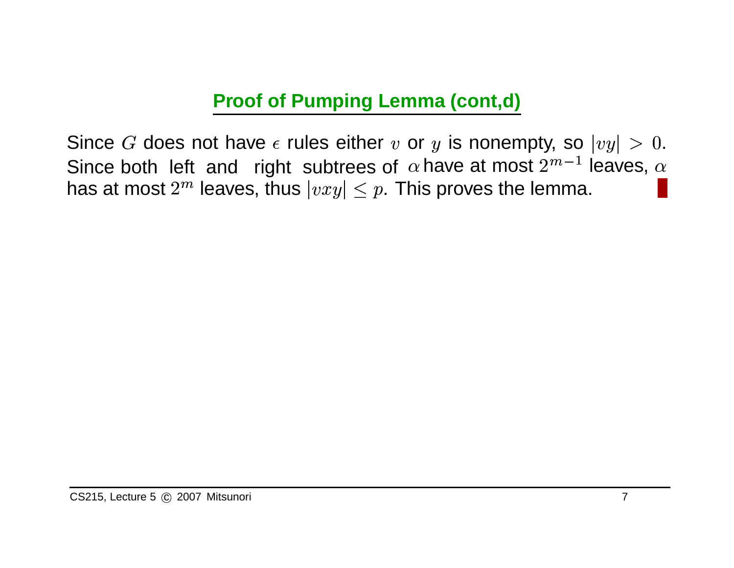Since  $G$  does not have  $\epsilon$  rules either  $v$  or  $y$  is nonempty, so  $|vy| > 0$ . Since both left and right subtrees of  $\alpha$  have at most  $2^m$ leaves,  $\alpha$ <br>a. has at most  $2^m$  leaves, thus  $|vxy| \leq p.$  This proves the lemma.<br>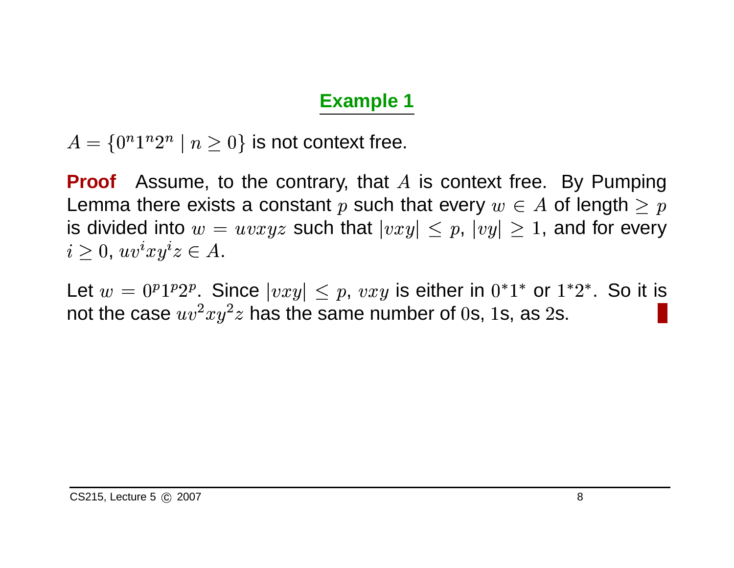## **Example 1**

 $\lambda = \{0^n1^n2^n \mid n \geq 0\}$  is not context free.

**Proof** Assume, to the contrary, that  $A$  is context free. By Pumping Lemma there exists a constant  $p$  such that every  $w \in A$  of length  $\geq p$ is divided into  $w=uvxyz$  such that  $|vxy|\leq p,$   $|vy|\geq 1,$  and for every  $\geq 0$ ,  $uv^i xy^i z \in A$ .

Let  $w = 0^{p}1^{p}2^{p}$ . Since  $|vxy| \leq p$ ,  $vxy$  is either in  $0^{*}1^{*}$  or  $1^{*}2^{*}$ . So it is not the case  $uv^{2}xy^{2}z$  has the same number of 0s, 1s, as 2s. not the case  $uv^2xy^2z$  has the same number of  $0$ s,  $1$ s, as  $2$ s.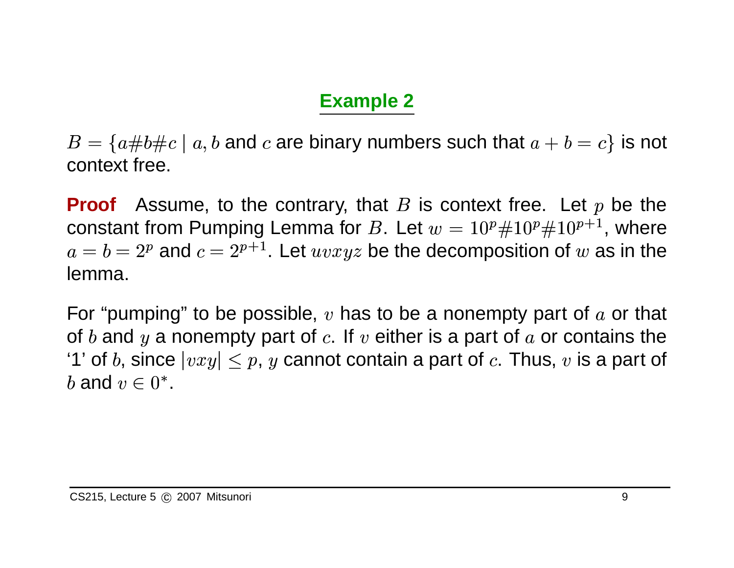## **Example 2**

 $\begin{aligned} \mathcal{L} & = \{a\#b\#c\mid a,b\text{ and }c\text{ are binary numbers such that }a+b=c\}\text{ is not} \end{aligned}$ context free.

**Proof** Assume, to the contrary, that  $B$  is context free. Let  $p$  be the constant from Pumping Lemma for  $B.$  Let  $w=10^{p}\#10^{p}\#10^{p+1}$  , where  $a = b = 2^p$  and  $c = 2^{p+1}$ . Let  $uvxyz$  be the decomposition of w as in the lemma.<br>For "pumping" to be possible, v has to be a nonempty part of a or that  $a=b=2^p$  and  $c=2^{p+1}.$  Let  $uvxyz$  be the decomposition of  $w$  as in the lemma.<br>For "pumping" to be possible,  $v$  has to be a nonempty part of  $a$  or that lemma.

of  $b$  and  $y$  a nonempty part of  $c$ . If  $v$  either is a part of  $a$  or contains the '1' of  $b$ , since  $|vxy|\leq p$ ,  $y$  cannot contain a part of  $c.$  Thus,  $v$  is a part of  $b$  and  $v \in 0^*$ .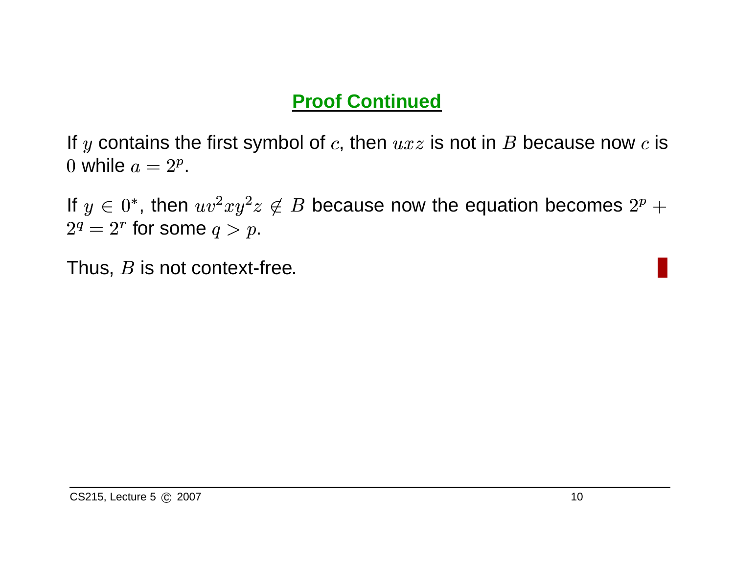## **Proof Continued**

If  $y$  contains the first symbol of  $c,$  then  $uxz$  is not in  $B$  because now  $c$  is while  $a=2^p$ 

.<br>ר If  $y \in 0^*$ , then  $uv^2xy^2z \notin B$  because now the equation becomes  $2^p + 2^q = 2^r$  for some  $q > p$ .  $2^q = 2^r$  for some  $q > p$ .

 $2^q = 2^r$  for some  $q > p.$ <br>Thus,  $B$  is not context-free.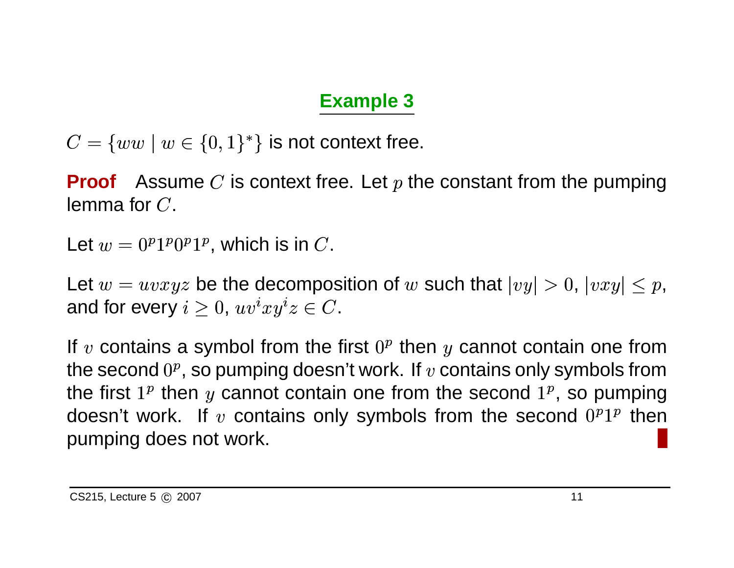# **Example 3**

 $\mathcal{L} = \{ww \mid w \in \{0,1\}^*\}$  is not context free.<br> **roof** Assume *C* is context free. Let *p* th **Proof** Assume  $C$  is context free. Let  $p$  the constant from the pumping lemma for  $C.$ 

Let  $w=0^p1^p0^p1^p$ 

, which is in  $C.$ <br>e the decompo $0,\,uv^ixy^iz\in C$ Let  $w=uvxyz$  be the decomposition of  $w$  such that  $|vy|>0,$   $|vxy|\leq p,$ and for every  $i > 0$ ,  $uv^i xy^i z \in C$ .

If  $v$  contains a symbol from the first  $0^p$ then  $y$  cannot contain one from<br>k. If  $v$  contains only symbols from<br>from the second  $1^p$ , so pumping<br>bols from the second  $0^p1^p$  then the second  $0^p$ , so pumping doesn't work. If  $v$  contains only symbols from<br>en  $y$  cannot contain one from the second  $1^p$ , so pumping<br>If  $v$  contains only symbols from the second  $0^p1^p$  then<br>is not work. the first  $1^p$ then y cannot contain one from the second  $1^p$ , so pumping<br>ork. If v contains only symbols from the second  $0^p1^p$  then<br>loes not work. doesn't work. If  $v$  contains only symbols from the second  $0^p1^p$  then<br>pumping does not work. pumping does not work.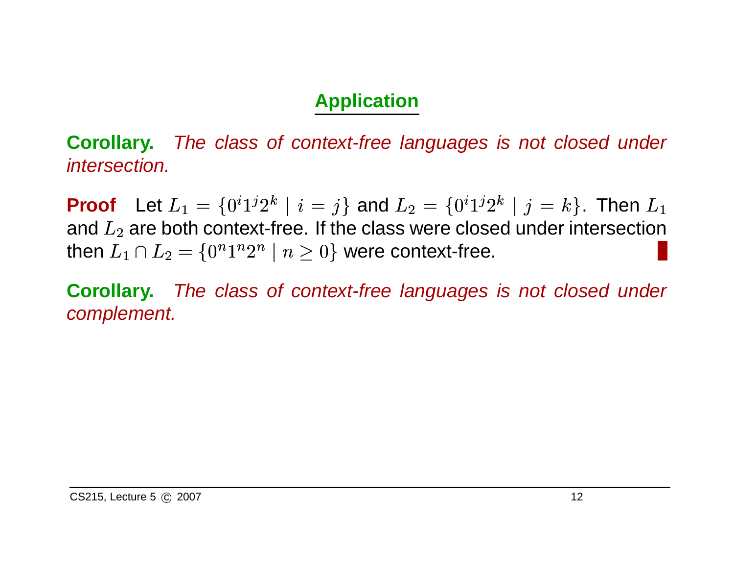## **Application**

**Corollary.** The class of context-free languages is not closed under intersection.

**Proof** Let  $L_1 = \{0^i1^j2^k \mid i = j\}$  and  $L_2 = \{0^i1^j2^k \mid j = k\}$ . Then  $L_1$ and  $L_2$  are both context-free. If the class were closed under intersection then  $L_1 \cap L_2 = \{ 0^n 1^n 2^n \mid n \geq 0 \}$  were context-free.

 **Corollary.** The class of context-free languages is not closed under complement.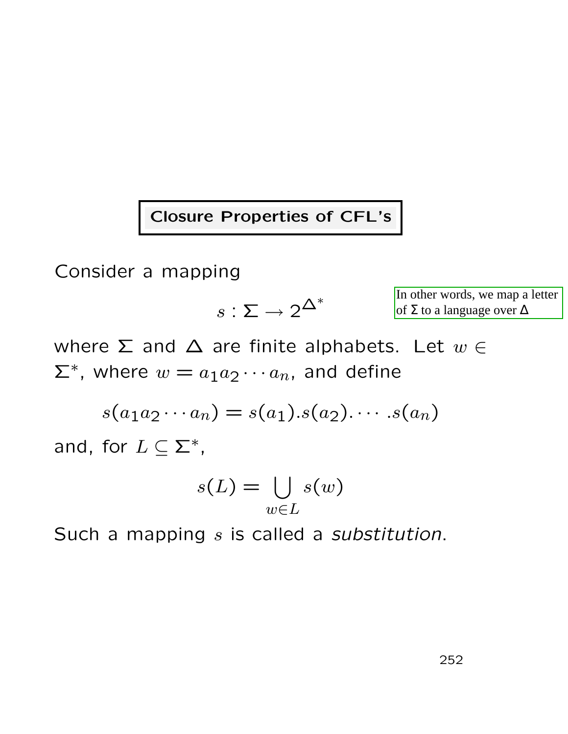Closure Properties of CFL's

Consider a mapping

$$
s:\Sigma\to 2^{\Delta^*}
$$

In other words, we map a letter of  $\Sigma$  to a language over  $\Delta$ 

where  $\Sigma$  and  $\Delta$  are finite alphabets. Let  $w \in \mathbb{R}$  $\Sigma^*$ , where  $w = a_1 a_2 \cdots a_n$ , and define

$$
s(a_1a_2\cdots a_n)=s(a_1).s(a_2).\cdots.s(a_n)
$$

and, for  $L \subseteq \Sigma^*$ ,

$$
s(L) = \bigcup_{w \in L} s(w)
$$

Such a mapping s is called a substitution.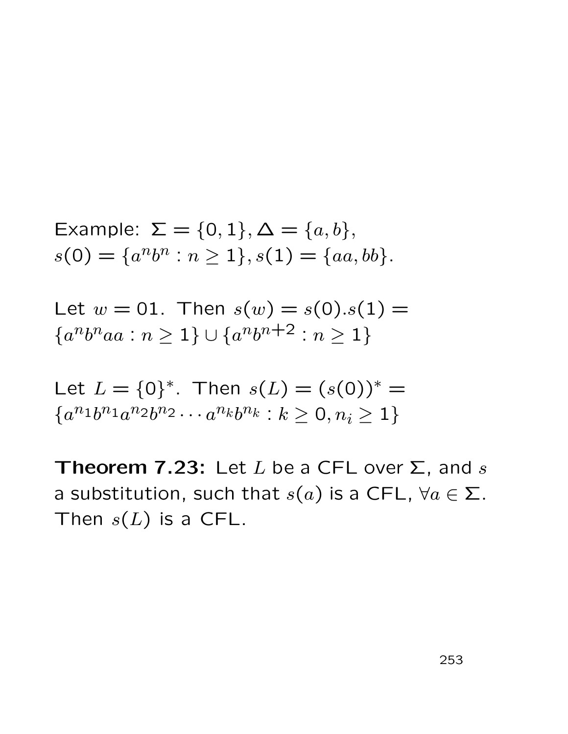Example:  $\Sigma = \{0, 1\}, \Delta = \{a, b\},\$  $s(0) = \{a^n b^n : n \ge 1\}, s(1) = \{aa, bb\}.$ 

Let  $w = 01$ . Then  $s(w) = s(0) \cdot s(1) =$  ${a^n b^n a a : n \ge 1} \cup {a^n b^{n+2} : n \ge 1}$ 

Let  $L = \{0\}^*$ . Then  $s(L) = (s(0))^*$  =  ${a^{n_1}b^{n_1}a^{n_2}b^{n_2}\cdots a^{n_k}b^{n_k}: k\geq 0, n_i\geq 1}$ 

**Theorem 7.23:** Let L be a CFL over  $\Sigma$ , and s a substitution, such that  $s(a)$  is a CFL,  $\forall a \in \Sigma$ . Then  $s(L)$  is a CFL.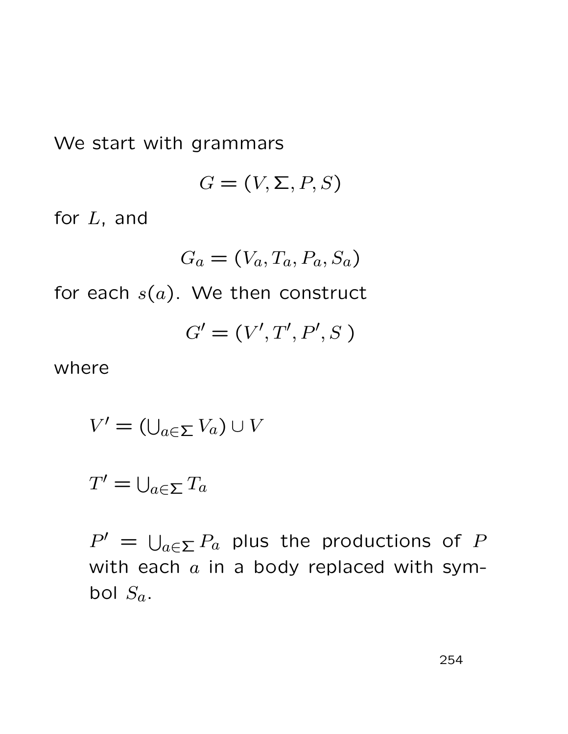We start with grammars

$$
G = (V, \Sigma, P, S)
$$

for  $L$ , and

$$
G_a = (V_a, T_a, P_a, S_a)
$$

for each  $s(a)$ . We then construct

$$
G' = (V', T', P', S')
$$

where

$$
V' = (\bigcup_{a \in \Sigma} V_a) \cup V
$$

$$
T' = \bigcup_{a \in \Sigma} T_a
$$

 $P' = \bigcup_{a \in \Sigma} P_a$  plus the productions of  $P$ with each  $a$  in a body replaced with symbol  $S_a$ .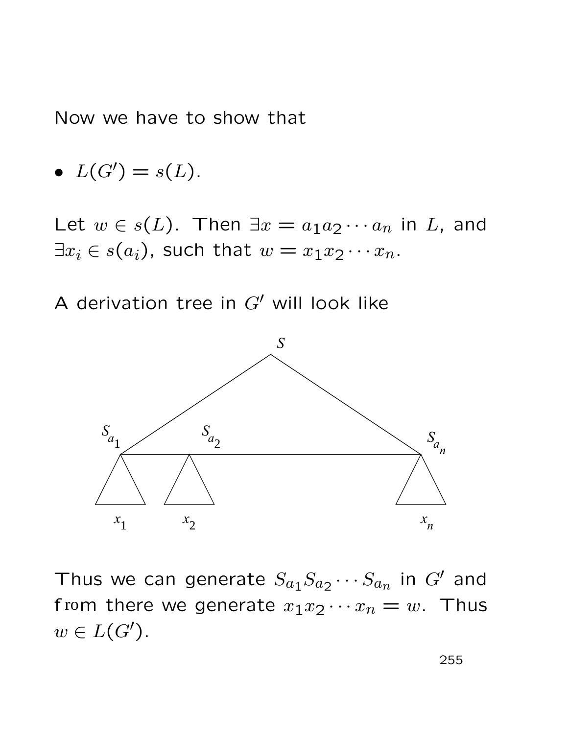#### Now we have to show that

$$
\bullet \ \ L(G')=s(L).
$$

Let  $w \in s(L)$ . Then  $\exists x = a_1 a_2 \cdots a_n$  in L, and  $\exists x_i \in s(a_i)$ , such that  $w = x_1 x_2 \cdots x_n$ .

A derivation tree in  $G'$  will look like



Thus we can generate  $S_{a_1}S_{a_2}\cdots S_{a_n}$  in  $G'$  and from there we generate  $x_1x_2\cdots x_n=w$ . Thus  $w \in L(G')$ .

255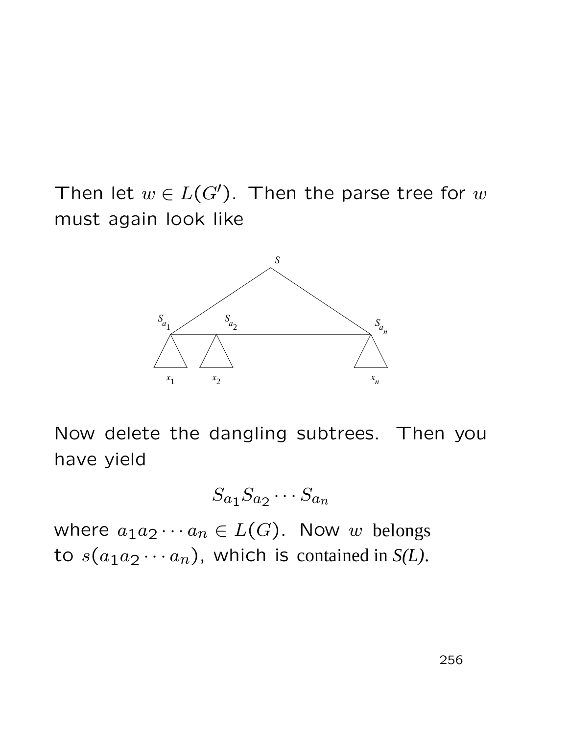Then let  $w \in L(G')$ . Then the parse tree for w must again look like



Now delete the dangling subtrees. Then you have yield

$$
S_{a_1} S_{a_2} \cdots S_{a_n}
$$

where  $a_1a_2\cdots a_n\in L(G).$  Now  $w$  belongs to  $s(a_1a_2\cdots a_n)$ , which is contained in *S(L)*.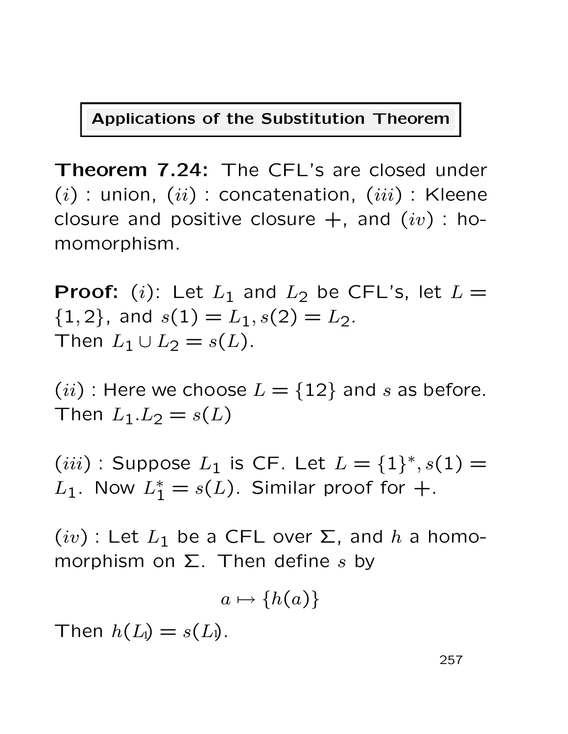Applications of the Substitution Theorem

Theorem 7.24: The CFL's are closed under  $(i)$ : union,  $(ii)$ : concatenation,  $(iii)$ : Kleene closure and positive closure  $+$ , and  $(iv)$ : homomorphism.

**Proof:** (i): Let  $L_1$  and  $L_2$  be CFL's, let  $L =$  $\{1,2\}$ , and  $s(1) = L_1, s(2) = L_2$ . Then  $L_1 \cup L_2 = s(L)$ .

 $(ii)$ : Here we choose  $L = \{12\}$  and s as before. Then  $L_1.L_2 = s(L)$ 

 $(iii)$ : Suppose  $L_1$  is CF. Let  $L = \{1\}^*, s(1) =$  $L_1$ . Now  $L_1^* = s(L)$ . Similar proof for  $+$ .

 $(iv)$ : Let  $L_1$  be a CFL over  $\Sigma$ , and  $h$  a homomorphism on  $\Sigma$ . Then define s by

$$
a\mapsto \{h(a)\}
$$

Then  $h(L) = s(L)$ .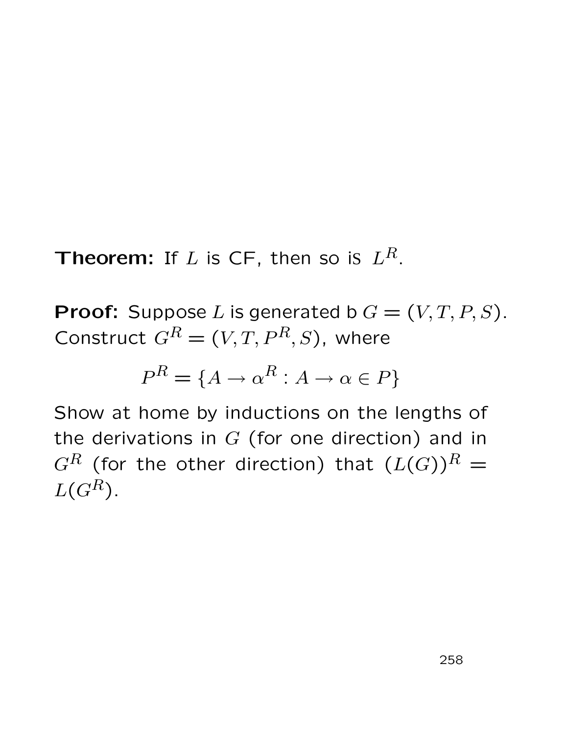**Theorem:** If L is CF, then so is  $L^R$ .

**Proof:** Suppose L is generated b  $G = (V, T, P, S)$ . Construct  $G^R = (V, T, P^R, S)$ , where

$$
P^R = \{ A \to \alpha^R : A \to \alpha \in P \}
$$

Show at home by inductions on the lengths of the derivations in  $G$  (for one direction) and in  $G^R$  (for the other direction) that  $(L(G))^R =$  $L(G^R)$ .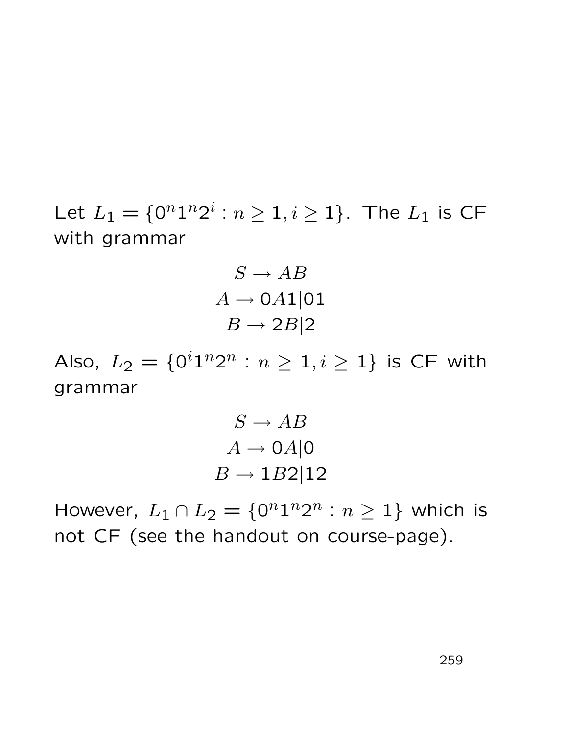Let  $L_1 = \{0^n 1^n 2^i : n \ge 1, i \ge 1\}$ . The  $L_1$  is CF with grammar

$$
S \rightarrow AB
$$
  

$$
A \rightarrow 0A1|01
$$
  

$$
B \rightarrow 2B|2
$$

Also,  $L_2=\{0^i1^n2^n:n\geq1,i\geq1\}$  is CF with grammar

$$
S \to AB
$$
  

$$
A \to 0A|0
$$
  

$$
B \to 1B2|12
$$

However,  $L_1 \cap L_2 = \{0^n 1^n 2^n : n \ge 1\}$  which is not CF (see the handout on course-page).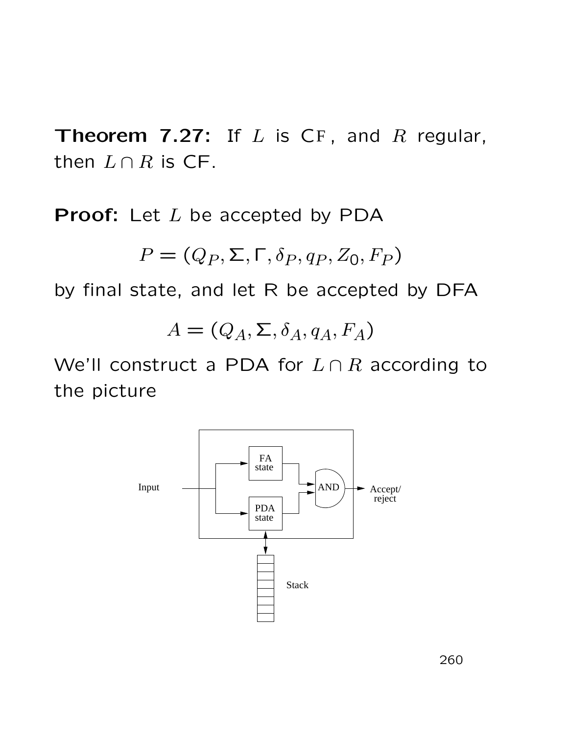**Theorem 7.27:** If  $L$  is CF, and  $R$  regular, then  $L \cap R$  is CF.

**Proof:** Let  $L$  be accepted by PDA

$$
P = (Q_P, \Sigma, \Gamma, \delta_P, q_P, Z_0, F_P)
$$

by final state, and let R be accepted by DFA

 $A = (Q_A, \Sigma, \delta_A, q_A, F_A)$ 

We'll construct a PDA for  $L \cap R$  according to the picture

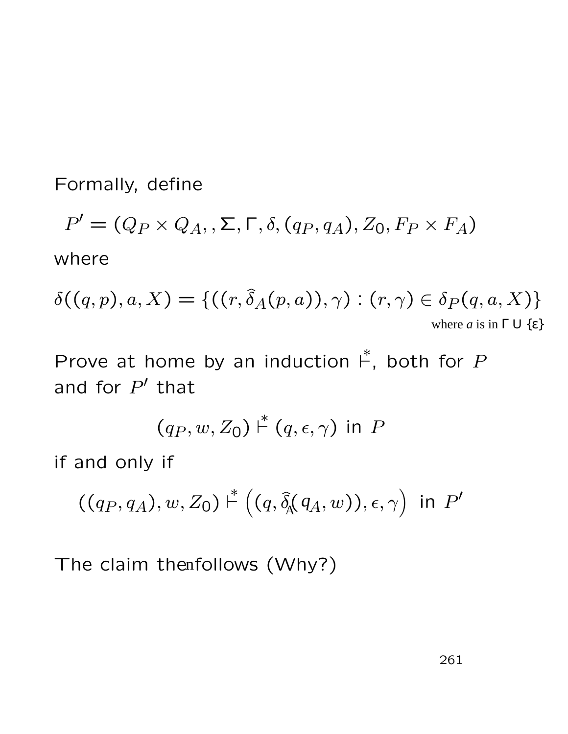Formally, define

P  $Q' = (Q_P \times Q_A, \Sigma, \Gamma, \delta, (q_P, q_A), Z_0, F_P \times F_A)$ where

$$
\delta((q,p),a,X) = \{((r,\delta_A(p,a)),\gamma) : (r,\gamma) \in \delta_P(q,a,X)\}
$$
  
where *a* is in  $\Gamma \cup \{\epsilon\}$ 

Prove at home by an induction  $\stackrel{*}{\vdash}$ , both for  $P$ and for  $P'$  that

$$
(q_P, w, Z_0) \nvdash^* (q, \epsilon, \gamma) \text{ in } P
$$

if and only if

$$
((q_P, q_A), w, Z_0) \xrightarrow{\ast} \left( (q, \hat{\delta}_A(q_A, w)), \epsilon, \gamma \right) \text{ in } P'
$$

The claim thenfollows (Why?)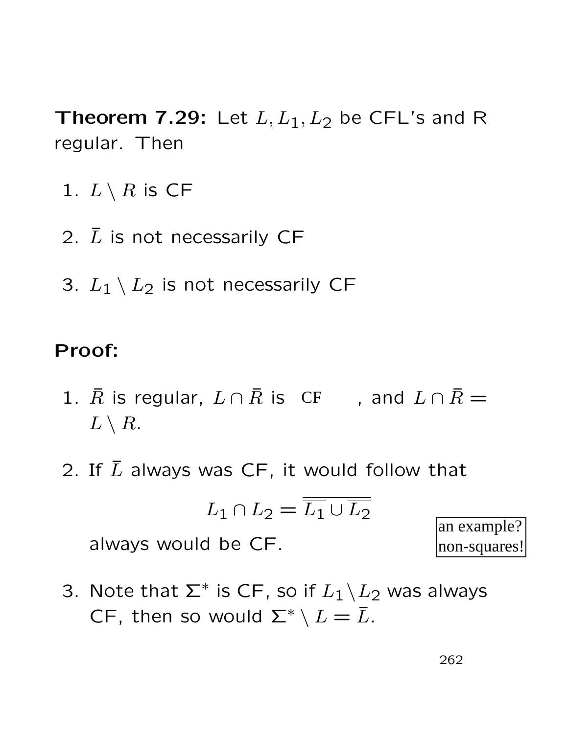**Theorem 7.29:** Let  $L, L_1, L_2$  be CFL's and R regular. Then

- 1.  $L \setminus R$  is CF
- 2.  $\bar{L}$  is not necessarily CF
- 3.  $L_1 \setminus L_2$  is not necessarily CF

#### Proof:

- 1.  $\bar{R}$  is regular,  $L \cap \bar{R}$  is CF, and  $L \cap \bar{R}$  =  $L \setminus R$ . CF , and  $L \cap R =$ <br>would follow that<br> $\frac{}{\overline{L_1} \cup \overline{L_2}}$  an example?<br>non-squares!
- 2. If  $\overline{L}$  always was CF, it would follow that

$$
L_1 \cap L_2 = \overline{\overline{L_1} \cup \overline{L_2}}
$$

always would be CF.

3. Note that  $\Sigma^*$  is CF, so if  $L_1 \backslash L_2$  was always CF, then so would  $\Sigma^* \setminus L = \overline{L}$ .

262

an example?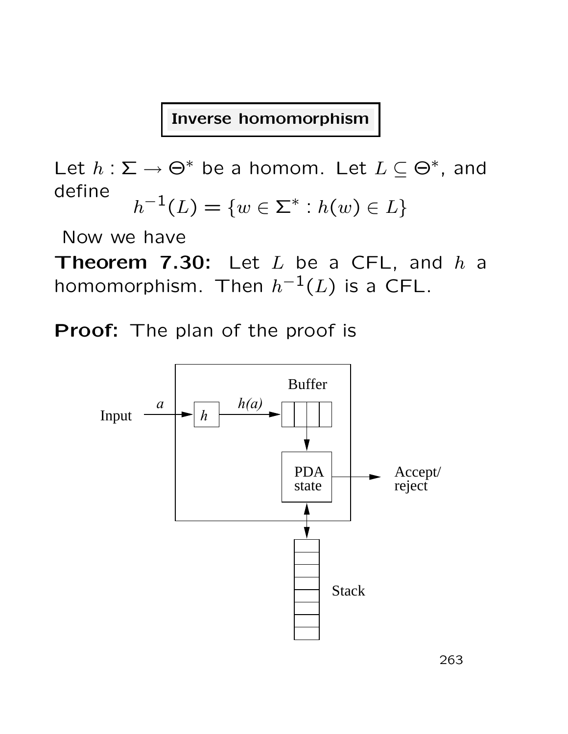#### Inverse homomorphism

Let  $h: \Sigma \to \Theta^*$  be a homom. Let  $L \subseteq \Theta^*$ , and define −1

$$
h^{-1}(L) = \{w \in \Sigma^* : h(w) \in L\}
$$

Now we have

**Theorem 7.30:** Let  $L$  be a CFL, and  $h$  a homomorphism. Then  $h^{-1}(L)$  is a CFL.

Proof: The plan of the proof is

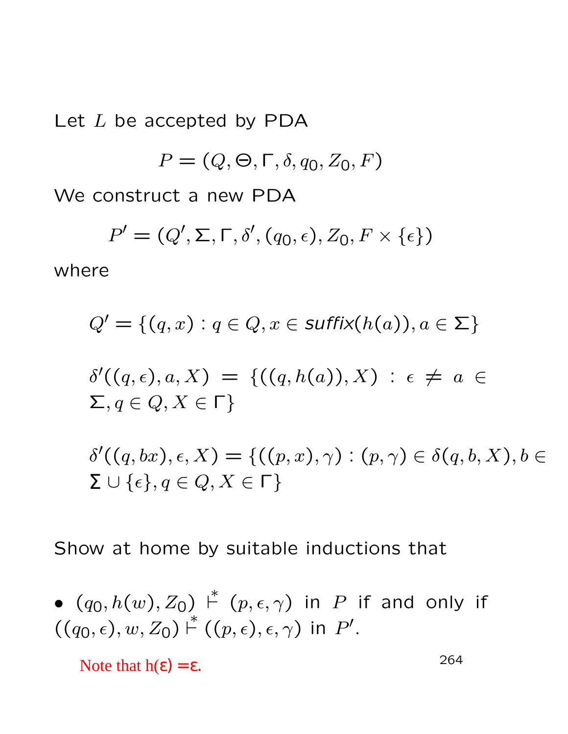Let  $L$  be accepted by PDA

 $P = (Q, \Theta, \Gamma, \delta, q_0, Z_0, F)$ 

We construct a new PDA

$$
P' = (Q', \Sigma, \Gamma, \delta', (q_0, \epsilon), Z_0, F \times \{\epsilon\})
$$

where

$$
Q' = \{(q, x) : q \in Q, x \in \text{suffix}(h(a)), a \in \Sigma\}
$$
  

$$
\delta'((q, \epsilon), a, X) = \{((q, h(a)), X) : \epsilon \neq a \in \Sigma, q \in Q, X \in \Gamma\}
$$
  

$$
\delta'((q, bx), \epsilon, X) = \{((p, x), \gamma) : (p, \gamma) \in \delta(q, b, X), b \in \Sigma \cup \{\epsilon\}, q \in Q, X \in \Gamma\}
$$

Show at home by suitable inductions that

• 
$$
(q_0, h(w), Z_0) \xrightarrow{\ast} (p, \epsilon, \gamma)
$$
 in *P* if and only if  $((q_0, \epsilon), w, Z_0) \xrightarrow{\ast} ((p, \epsilon), \epsilon, \gamma)$  in *P'*.

264 Note that  $h(\varepsilon) = \varepsilon$ .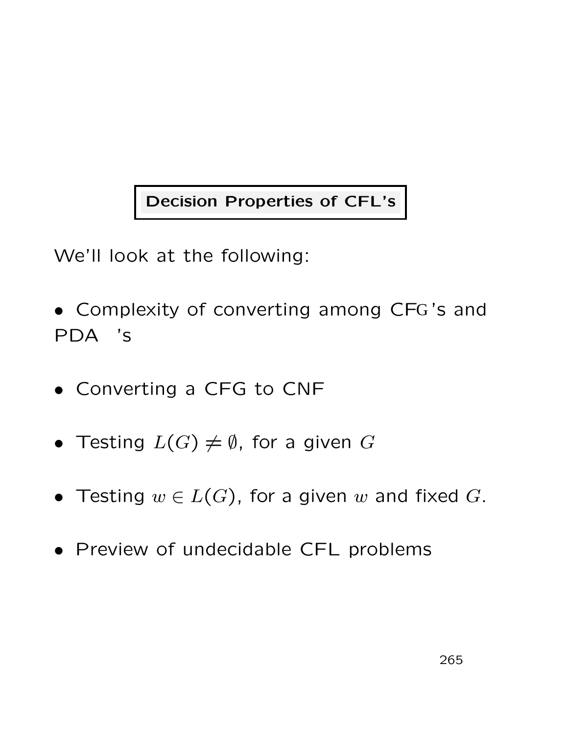Decision Properties of CFL's

We'll look at the following:

- Complexity of converting among CFG's and PDA 's
- Converting a CFG to CNF
- Testing  $L(G) \neq \emptyset$ , for a given G
- Testing  $w \in L(G)$ , for a given w and fixed G.
- Preview of undecidable CFL problems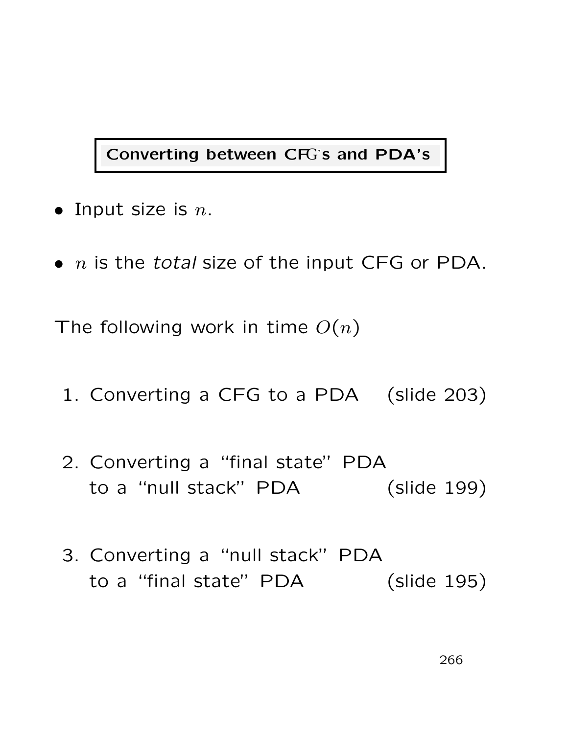Converting between CFG's and PDA's

- Input size is  $n$ .
- $\bullet$  n is the total size of the input CFG or PDA.

The following work in time  $O(n)$ 

- 1. Converting a CFG to a PDA (slide 203)
- 2. Converting a "final state" PDA to a "null stack" PDA (slide 199)
- 3. Converting a "null stack" PDA to a "final state" PDA (slide 195)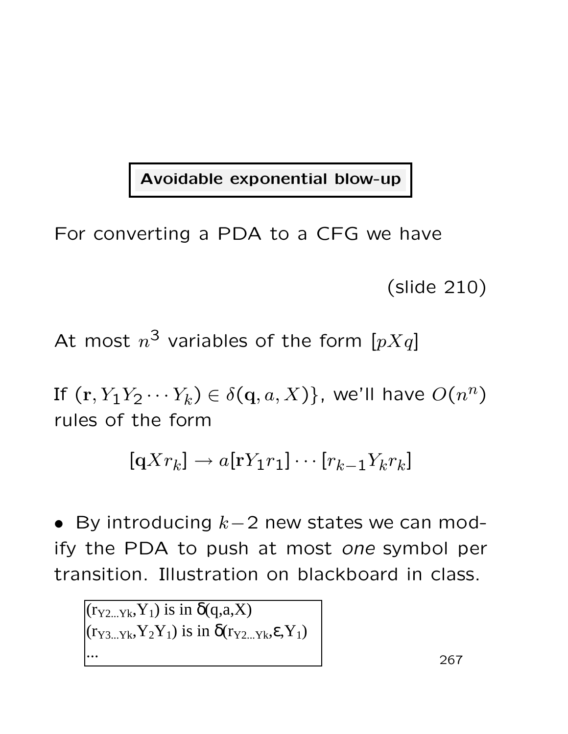Avoidable exponential blow-up

For converting a PDA to a CFG we have

(slide 210)

At most  $n^3$  variables of the form  $[pXq]$ 

If  $(\mathbf{r}, Y_1 Y_2 \cdots Y_k) \in \delta(\mathbf{q}, a, X) \}$ , we'll have  $O(n^n)$ rules of the form

$$
[\mathbf{q}Xr_k] \rightarrow a[\mathbf{r}Y_1r_1] \cdots [r_{k-1}Y_kr_k]
$$

• By introducing  $k-2$  new states we can modify the PDA to push at most one symbol per transition. Illustration on blackboard in class.

```
(\mathbf{r}_{\mathbf{Y2}\dots\mathbf{Yk}}\mathbf{Y}_1) is in \delta(\mathbf{q},\mathbf{a},\mathbf{X})(r_{Y3\ldots Yk}, Y_2Y_1) is in \delta(r_{Y2\ldots Yk}, \varepsilon, Y_1)...
```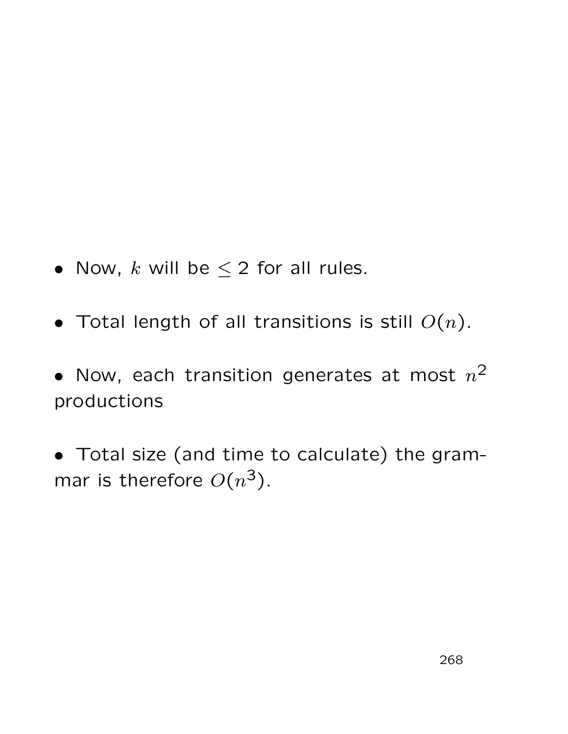- Now,  $k$  will be  $\leq 2$  for all rules.
- Total length of all transitions is still  $O(n)$ .
- Now, each transition generates at most  $n^2$ productions
- Total size (and time to calculate) the grammar is therefore  $O(n^3)$ .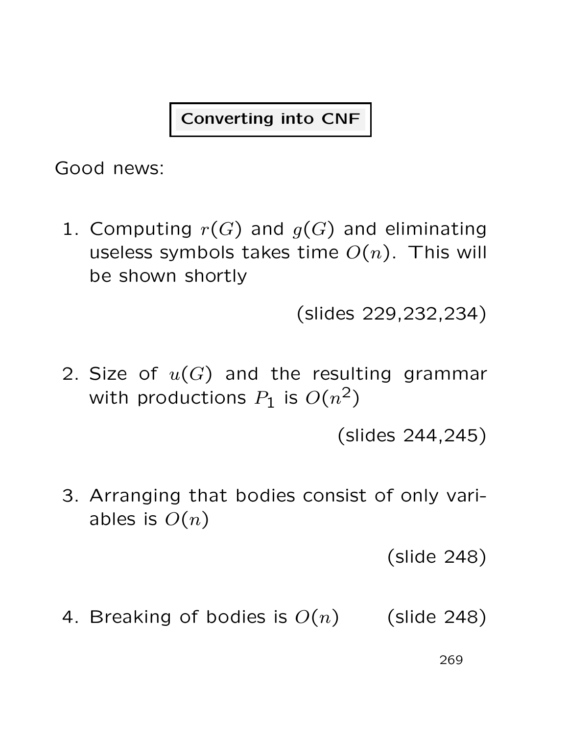### Converting into CNF

Good news:

1. Computing  $r(G)$  and  $g(G)$  and eliminating useless symbols takes time  $O(n)$ . This will be shown shortly

(slides 229,232,234)

2. Size of  $u(G)$  and the resulting grammar with productions  $P_1$  is  $O(n^2)$ 

(slides 244,245)

3. Arranging that bodies consist of only variables is  $O(n)$ 

(slide 248)

4. Breaking of bodies is  $O(n)$  (slide 248)

269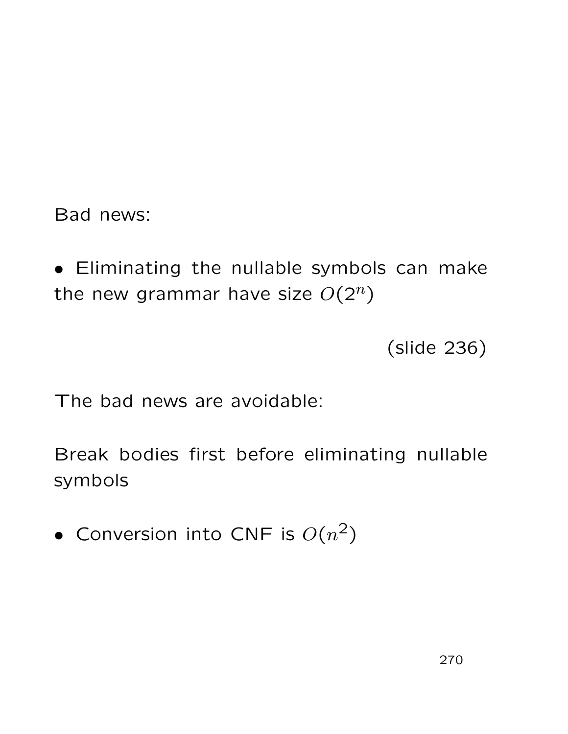Bad news:

• Eliminating the nullable symbols can make the new grammar have size  $O(2^n)$ 

(slide 236)

The bad news are avoidable:

Break bodies first before eliminating nullable symbols

• Conversion into CNF is  $O(n^2)$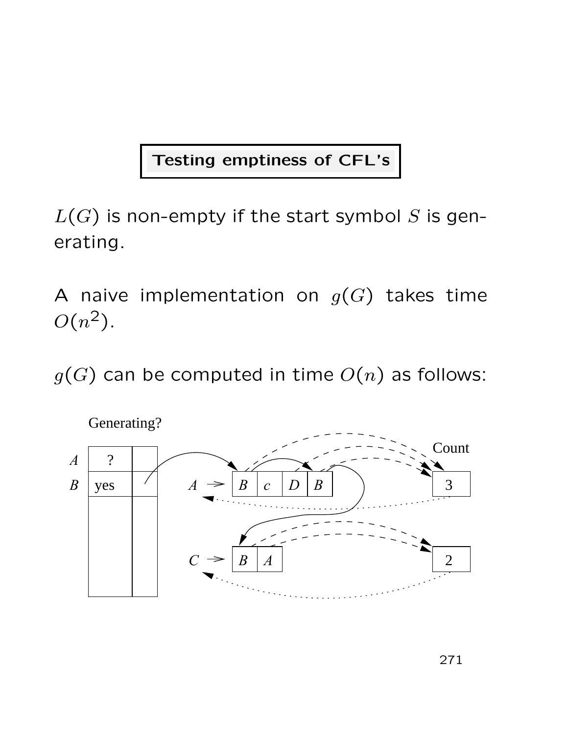### Testing emptiness of CFL's

 $L(G)$  is non-empty if the start symbol S is generating.

A naive implementation on  $g(G)$  takes time  $O(n^2)$ .

 $g(G)$  can be computed in time  $O(n)$  as follows:



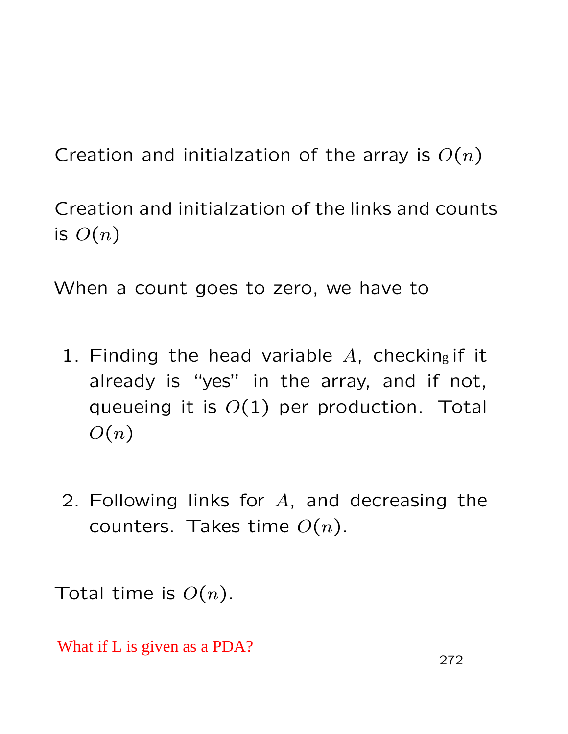Creation and initialzation of the array is  $O(n)$ 

Creation and initialzation of the links and counts is  $O(n)$ 

When a count goes to zero, we have to

- 1. Finding the head variable  $A$ , checking if it already is "yes" in the array, and if not, queueing it is  $O(1)$  per production. Total  $O(n)$
- 2. Following links for  $A$ , and decreasing the counters. Takes time  $O(n)$ .

Total time is  $O(n)$ .

What if L is given as a PDA?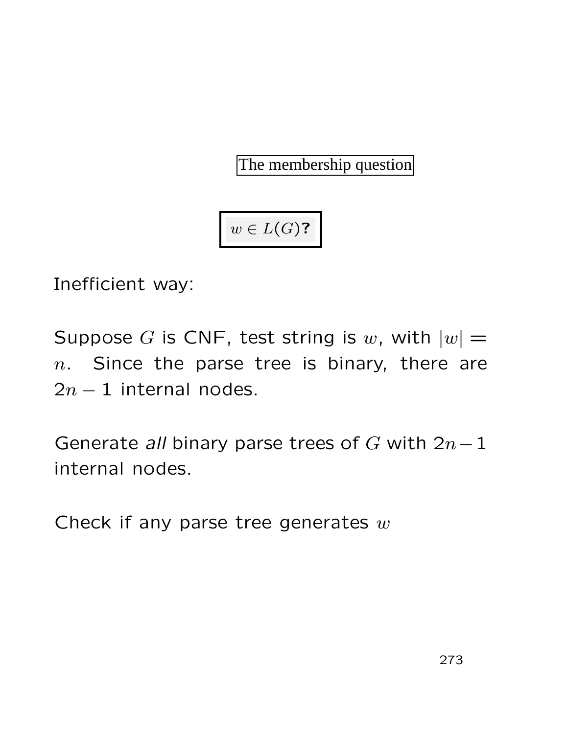The membership question

 $w \in L(G)$ ?

Inefficient way:

Suppose G is CNF, test string is w, with  $|w| =$  $n.$  Since the parse tree is binary, there are  $2n - 1$  internal nodes.

Generate all binary parse trees of G with  $2n-1$ internal nodes.

Check if any parse tree generates  $w$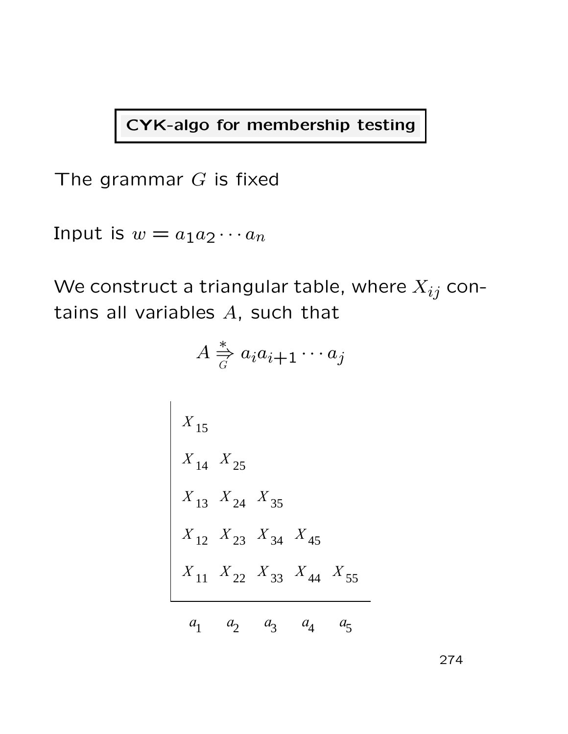CYK-algo for membership testing

The grammar  $G$  is fixed

Input is  $w = a_1 a_2 \cdots a_n$ 

We construct a triangular table, where  $X_{ij}$  contains all variables  $A$ , such that

$$
A \frac{d}{dx} a_i a_{i+1} \cdots a_j
$$
  
\n
$$
X_{15}
$$
  
\n
$$
X_{14} X_{25}
$$
  
\n
$$
X_{13} X_{24} X_{35}
$$
  
\n
$$
X_{12} X_{23} X_{34} X_{45}
$$
  
\n
$$
X_{11} X_{22} X_{33} X_{44} X_{55}
$$

 $a_1$   $a_2$   $a_3$   $a_4$   $a_5$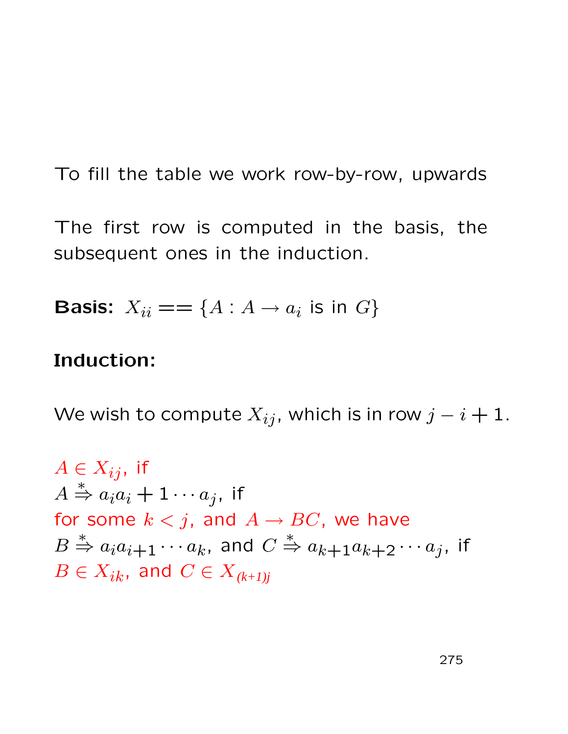To fill the table we work row-by-row, upwards

The first row is computed in the basis, the subsequent ones in the induction.

**Basis:**  $X_{ii} == \{A : A \rightarrow a_i \text{ is in } G\}$ 

### Induction:

We wish to compute  $X_{ij}$ , which is in row  $j - i + 1$ .

$$
A \in X_{ij}
$$
, if  
\n $A \stackrel{*}{\Rightarrow} a_i a_i + 1 \cdots a_j$ , if  
\nfor some  $k < j$ , and  $A \rightarrow BC$ , we have  
\n $B \stackrel{*}{\Rightarrow} a_i a_{i+1} \cdots a_k$ , and  $C \stackrel{*}{\Rightarrow} a_{k+1} a_{k+2} \cdots a_j$ , if  
\n $B \in X_{ik}$ , and  $C \in X_{(k+l)j}$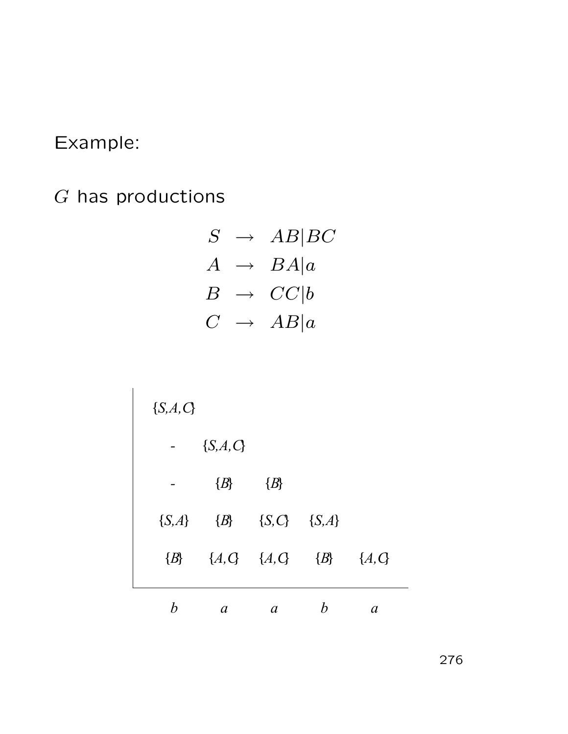## Example:

 $G$  has productions

$$
S \rightarrow AB|BC
$$
  
\n
$$
A \rightarrow BA|a
$$
  
\n
$$
B \rightarrow CC|b
$$
  
\n
$$
C \rightarrow AB|a
$$

$$
\{S, A, C\}
$$
\n- { $S, A, C\}$   
\n- { $B\}$  { $B\}$   
\n
$$
\{S, A\}
$$
 { $B\}$  { $S, C\}$  { $S, A\}$   
\n
$$
\{B\}
$$
 { $A, C\}$  { $A, C\}$  { $B\}$  { $A, C\}$   
\n $b \quad a \quad a \quad b \quad a$ 

276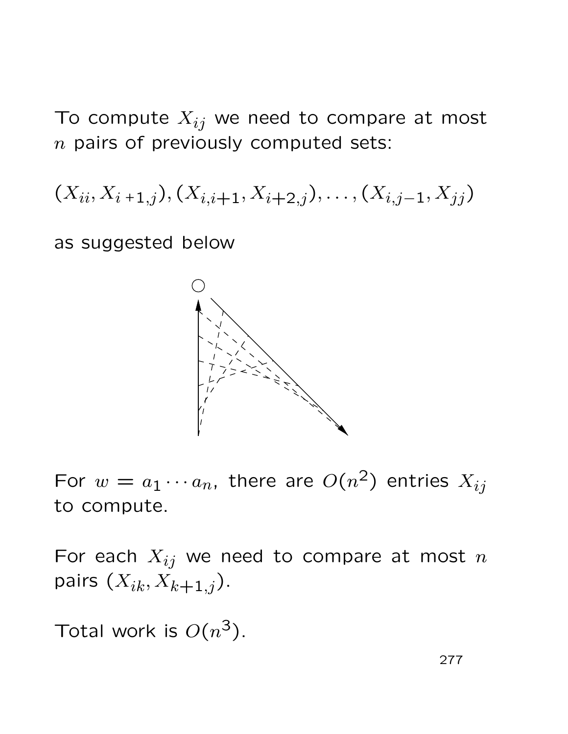To compute  $X_{ij}$  we need to compare at most  $n$  pairs of previously computed sets:

$$
(X_{ii}, X_{i+1,j}), (X_{i,i+1}, X_{i+2,j}), \ldots, (X_{i,j-1}, X_{jj})
$$

as suggested below



For  $w = a_1 \cdots a_n$ , there are  $O(n^2)$  entries  $X_{ij}$ to compute.

For each  $X_{ij}$  we need to compare at most  $n$ pairs  $(X_{ik}, X_{k+1,j}).$ 

Total work is  $O(n^3)$ .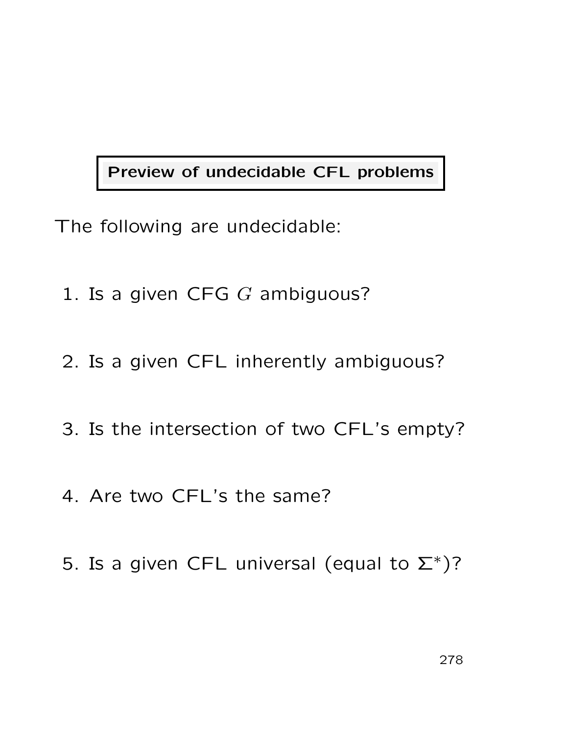### Preview of undecidable CFL problems

- The following are undecidable:
	- 1. Is a given CFG  $G$  ambiguous?
	- 2. Is a given CFL inherently ambiguous?
	- 3. Is the intersection of two CFL's empty?
	- 4. Are two CFL's the same?
	- 5. Is a given CFL universal (equal to  $\Sigma^*$ )?